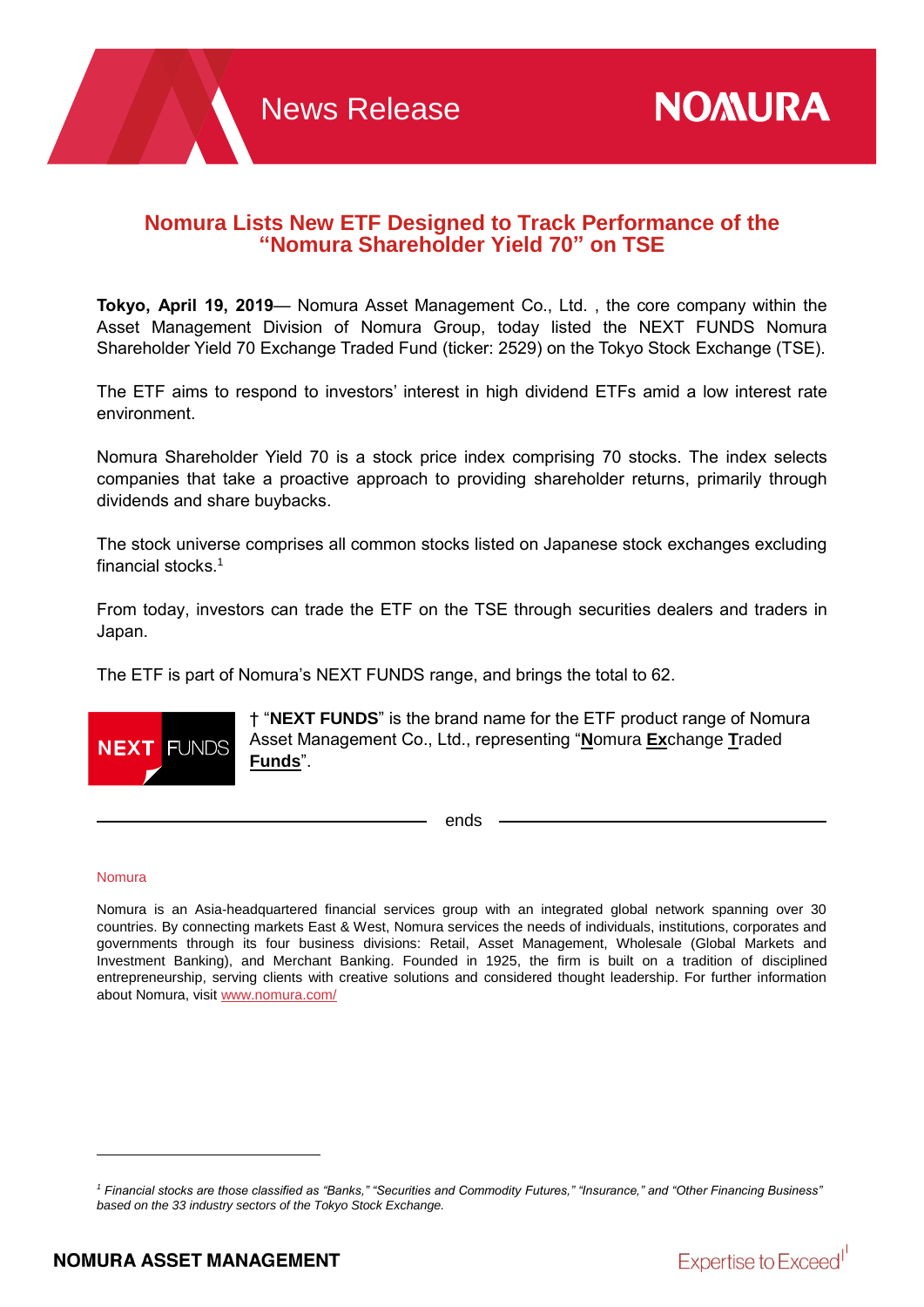# **Nomura Lists New ETF Designed to Track Performance of the "Nomura Shareholder Yield 70" on TSE**

**Tokyo, April 19, 2019**— Nomura Asset Management Co., Ltd. , the core company within the Asset Management Division of Nomura Group, today listed the NEXT FUNDS Nomura Shareholder Yield 70 Exchange Traded Fund (ticker: 2529) on the Tokyo Stock Exchange (TSE).

The ETF aims to respond to investors' interest in high dividend ETFs amid a low interest rate environment.

Nomura Shareholder Yield 70 is a stock price index comprising 70 stocks. The index selects companies that take a proactive approach to providing shareholder returns, primarily through dividends and share buybacks.

The stock universe comprises all common stocks listed on Japanese stock exchanges excluding financial stocks. 1

From today, investors can trade the ETF on the TSE through securities dealers and traders in Japan.

The ETF is part of Nomura's NEXT FUNDS range, and brings the total to 62.



† "**NEXT FUNDS**" is the brand name for the ETF product range of Nomura Asset Management Co., Ltd., representing "**N**omura **Ex**change **T**raded **Funds**".

ends

### Nomura

Nomura is an Asia-headquartered financial services group with an integrated global network spanning over 30 countries. By connecting markets East & West, Nomura services the needs of individuals, institutions, corporates and governments through its four business divisions: Retail, Asset Management, Wholesale (Global Markets and Investment Banking), and Merchant Banking. Founded in 1925, the firm is built on a tradition of disciplined entrepreneurship, serving clients with creative solutions and considered thought leadership. For further information about Nomura, visit [www.nomura.com/](https://www.nomura.com/)



<sup>&</sup>lt;sup>1</sup> Financial stocks are those classified as "Banks," "Securities and Commodity Futures," "Insurance," and "Other Financing Business" *based on the 33 industry sectors of the Tokyo Stock Exchange.*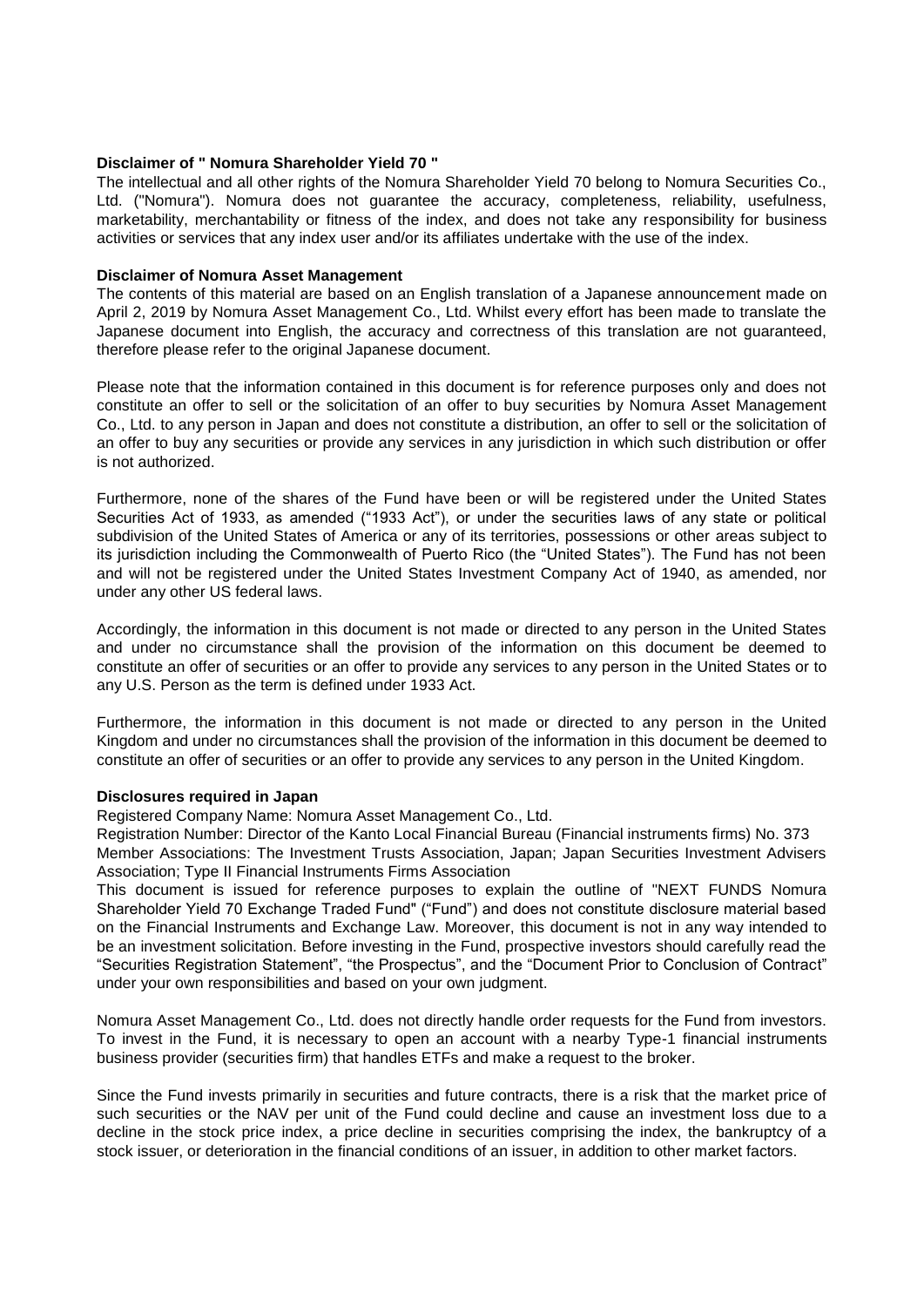### **Disclaimer of " Nomura Shareholder Yield 70 "**

The intellectual and all other rights of the Nomura Shareholder Yield 70 belong to Nomura Securities Co., Ltd. ("Nomura"). Nomura does not guarantee the accuracy, completeness, reliability, usefulness, marketability, merchantability or fitness of the index, and does not take any responsibility for business activities or services that any index user and/or its affiliates undertake with the use of the index.

#### **Disclaimer of Nomura Asset Management**

The contents of this material are based on an English translation of a Japanese announcement made on April 2, 2019 by Nomura Asset Management Co., Ltd. Whilst every effort has been made to translate the Japanese document into English, the accuracy and correctness of this translation are not guaranteed, therefore please refer to the original Japanese document.

Please note that the information contained in this document is for reference purposes only and does not constitute an offer to sell or the solicitation of an offer to buy securities by Nomura Asset Management Co., Ltd. to any person in Japan and does not constitute a distribution, an offer to sell or the solicitation of an offer to buy any securities or provide any services in any jurisdiction in which such distribution or offer is not authorized.

Furthermore, none of the shares of the Fund have been or will be registered under the United States Securities Act of 1933, as amended ("1933 Act"), or under the securities laws of any state or political subdivision of the United States of America or any of its territories, possessions or other areas subject to its jurisdiction including the Commonwealth of Puerto Rico (the "United States"). The Fund has not been and will not be registered under the United States Investment Company Act of 1940, as amended, nor under any other US federal laws.

Accordingly, the information in this document is not made or directed to any person in the United States and under no circumstance shall the provision of the information on this document be deemed to constitute an offer of securities or an offer to provide any services to any person in the United States or to any U.S. Person as the term is defined under 1933 Act.

Furthermore, the information in this document is not made or directed to any person in the United Kingdom and under no circumstances shall the provision of the information in this document be deemed to constitute an offer of securities or an offer to provide any services to any person in the United Kingdom.

#### **Disclosures required in Japan**

Registered Company Name: Nomura Asset Management Co., Ltd.

Registration Number: Director of the Kanto Local Financial Bureau (Financial instruments firms) No. 373 Member Associations: The Investment Trusts Association, Japan; Japan Securities Investment Advisers Association; Type II Financial Instruments Firms Association

This document is issued for reference purposes to explain the outline of "NEXT FUNDS Nomura Shareholder Yield 70 Exchange Traded Fund" ("Fund") and does not constitute disclosure material based on the Financial Instruments and Exchange Law. Moreover, this document is not in any way intended to be an investment solicitation. Before investing in the Fund, prospective investors should carefully read the "Securities Registration Statement", "the Prospectus", and the "Document Prior to Conclusion of Contract" under your own responsibilities and based on your own judgment.

Nomura Asset Management Co., Ltd. does not directly handle order requests for the Fund from investors. To invest in the Fund, it is necessary to open an account with a nearby Type-1 financial instruments business provider (securities firm) that handles ETFs and make a request to the broker.

Since the Fund invests primarily in securities and future contracts, there is a risk that the market price of such securities or the NAV per unit of the Fund could decline and cause an investment loss due to a decline in the stock price index, a price decline in securities comprising the index, the bankruptcy of a stock issuer, or deterioration in the financial conditions of an issuer, in addition to other market factors.